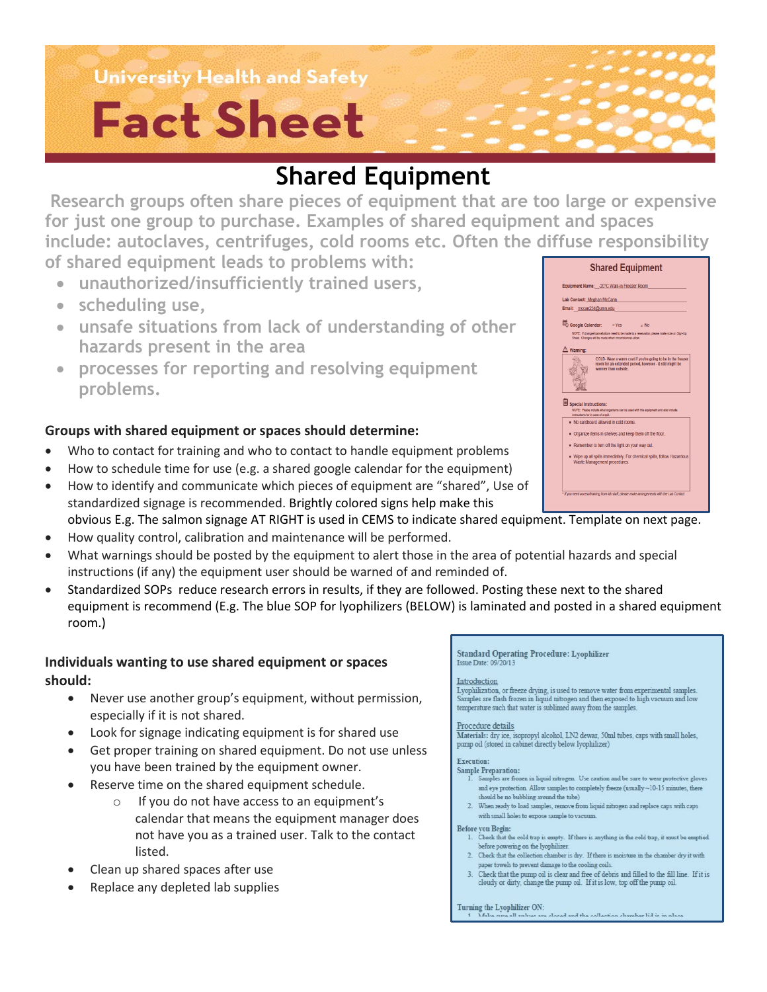### **University Health and Safety**

# **Fact Sheet**

## **Shared Equipment**

**Research groups often share pieces of equipment that are too large or expensive for just one group to purchase. Examples of shared equipment and spaces include: autoclaves, centrifuges, cold rooms etc. Often the diffuse responsibility of shared equipment leads to problems with:**

- **unauthorized/insufficiently trained users,**
- **scheduling use,**
- **unsafe situations from lack of understanding of other hazards present in the area**
- **processes for reporting and resolving equipment problems.**

### **Groups with shared equipment or spaces should determine:**

- Who to contact for training and who to contact to handle equipment problems
- How to schedule time for use (e.g. a shared google calendar for the equipment)
- How to identify and communicate which pieces of equipment are "shared", Use of standardized signage is recommended. Brightly colored signs help make this obvious E.g. The salmon signage AT RIGHT is used in CEMS to indicate shared equipment. Template on next page.
- How quality control, calibration and maintenance will be performed.
- What warnings should be posted by the equipment to alert those in the area of potential hazards and special instructions (if any) the equipment user should be warned of and reminded of.
- Standardized SOPs reduce research errors in results, if they are followed. Posting these next to the shared equipment is recommend (E.g. The blue SOP for lyophilizers (BELOW) is laminated and posted in a shared equipment room.)

#### **Individuals wanting to use shared equipment or spaces should:**

- Never use another group's equipment, without permission, especially if it is not shared.
- Look for signage indicating equipment is for shared use
- Get proper training on shared equipment. Do not use unless you have been trained by the equipment owner.
- Reserve time on the shared equipment schedule.
	- o If you do not have access to an equipment's calendar that means the equipment manager does not have you as a trained user. Talk to the contact listed.
- Clean up shared spaces after use
- Replace any depleted lab supplies

#### **Standard Operating Procedure: Lyophilizer** Issue Date: 09/20/13

#### Introduction

Lyophilization, or freeze drying, is used to remove water from experimental samples.<br>Samples are flash frozen in liquid nitrogen and then exposed to high vacuum and low temperature such that water is sublimed away from the samples

 $\frac{Proceedure details}{Materials: dry ice, isopropyl alcohol, LN2 dewar, 50ml tubes, caps with small holes, pump oil (stored in cabinet directly below lyophilizer)$ 

#### Execution:

- **Sample Preparation:** Samples are frozen in liquid nitrogen. Use caution and be sure to wear protective gloves and eye protection. Allow samples to completely freeze (usually  ${\sim}10\text{--}15$  minutes, there should be no bubbling around the tube)
- 2. When ready to load samples, remove from liquid nitrogen and replace caps with caps with small holes to expose sample to vacuum

#### Before you Begin:

- 1. Check that the cold trap is empty. If there is anything in the cold trap, it must be emptied before powering on the lyophilizer.
- 2. Check that the collection chamber is dry. If there is moisture in the chamber dry it with paper towels to prevent damage to the cooling coils
- 3. Check that the pump oil is clear and free of debris and filled to the fill line. If it is cloudy or dirty, change the pump oil. If it is low, top off the pump oil.

Turning the Lyophilizer ON:<br>1. Make over all values are

ra closed and the collection chamber lid is in nlace